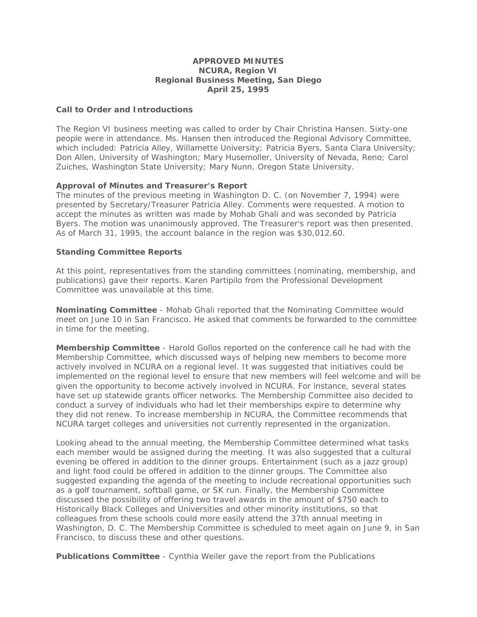### **APPROVED MINUTES NCURA, Region VI Regional Business Meeting, San Diego April 25, 1995**

## **Call to Order and Introductions**

The Region VI business meeting was called to order by Chair Christina Hansen. Sixty-one people were in attendance. Ms. Hansen then introduced the Regional Advisory Committee, which included: Patricia Alley, Willamette University; Patricia Byers, Santa Clara University; Don Allen, University of Washington; Mary Husemoller, University of Nevada, Reno; Carol Zuiches, Washington State University; Mary Nunn, Oregon State University.

### **Approval of Minutes and Treasurer's Report**

The minutes of the previous meeting in Washington D. C. (on November 7, 1994) were presented by Secretary/Treasurer Patricia Alley. Comments were requested. A motion to accept the minutes as written was made by Mohab Ghali and was seconded by Patricia Byers. The motion was unanimously approved. The Treasurer's report was then presented. As of March 31, 1995, the account balance in the region was \$30,012.60.

## **Standing Committee Reports**

At this point, representatives from the standing committees (nominating, membership, and publications) gave their reports. Karen Partipilo from the Professional Development Committee was unavailable at this time.

**Nominating Committee** - Mohab Ghali reported that the Nominating Committee would meet on June 10 in San Francisco. He asked that comments be forwarded to the committee in time for the meeting.

**Membership Committee** - Harold Gollos reported on the conference call he had with the Membership Committee, which discussed ways of helping new members to become more actively involved in NCURA on a regional level. It was suggested that initiatives could be implemented on the regional level to ensure that new members will feel welcome and will be given the opportunity to become actively involved in NCURA. For instance, several states have set up statewide grants officer networks. The Membership Committee also decided to conduct a survey of individuals who had let their memberships expire to determine why they did not renew. To increase membership in NCURA, the Committee recommends that NCURA target colleges and universities not currently represented in the organization.

Looking ahead to the annual meeting, the Membership Committee determined what tasks each member would be assigned during the meeting. It was also suggested that a cultural evening be offered in addition to the dinner groups. Entertainment (such as a jazz group) and light food could be offered in addition to the dinner groups. The Committee also suggested expanding the agenda of the meeting to include recreational opportunities such as a golf tournament, softball game, or SK run. Finally, the Membership Committee discussed the possibility of offering two travel awards in the amount of \$750 each to Historically Black Colleges and Universities and other minority institutions, so that colleagues from these schools could more easily attend the 37th annual meeting in Washington, D. C. The Membership Committee is scheduled to meet again on June 9, in San Francisco, to discuss these and other questions.

**Publications Committee** - Cynthia Weiler gave the report from the Publications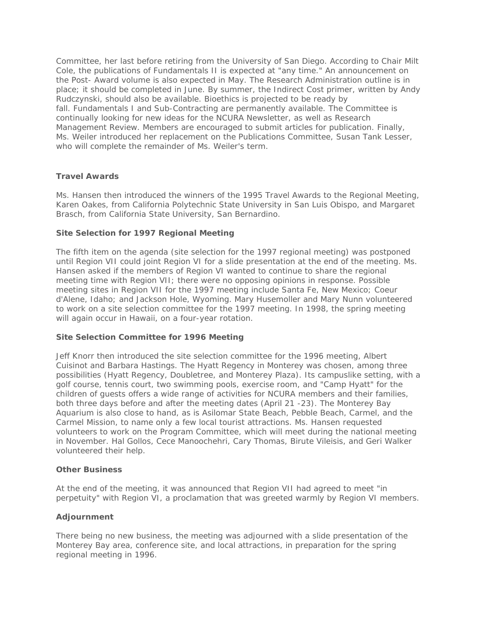Committee, her last before retiring from the University of San Diego. According to Chair Milt Cole, the publications of *Fundamentals II* is expected at "any time." An announcement on the Post- Award volume is also expected in May. The Research Administration outline is in place; it should be completed in June. By summer, the Indirect Cost primer, written by Andy Rudczynski, should also be available. *Bioethics* is projected to be ready by fall. *Fundamentals I* and *Sub-Contracting* are permanently available. The Committee is continually looking for new ideas for the *NCURA Newsletter*, as well as *Research Management Review*. Members are encouraged to submit articles for publication. Finally, Ms. Weiler introduced her replacement on the Publications Committee, Susan Tank Lesser, who will complete the remainder of Ms. Weiler's term.

# **Travel Awards**

Ms. Hansen then introduced the winners of the 1995 Travel Awards to the Regional Meeting, Karen Oakes, from California Polytechnic State University in San Luis Obispo, and Margaret Brasch, from California State University, San Bernardino.

# **Site Selection for 1997 Regional Meeting**

The fifth item on the agenda (site selection for the 1997 regional meeting) was postponed until Region VII could joint Region VI for a slide presentation at the end of the meeting. Ms. Hansen asked if the members of Region VI wanted to continue to share the regional meeting time with Region VII; there were no opposing opinions in response. Possible meeting sites in Region VII for the 1997 meeting include Santa Fe, New Mexico; Coeur d'Alene, Idaho; and Jackson Hole, Wyoming. Mary Husemoller and Mary Nunn volunteered to work on a site selection committee for the 1997 meeting. In 1998, the spring meeting will again occur in Hawaii, on a four-year rotation.

# **Site Selection Committee for 1996 Meeting**

Jeff Knorr then introduced the site selection committee for the 1996 meeting, Albert Cuisinot and Barbara Hastings. The Hyatt Regency in Monterey was chosen, among three possibilities (Hyatt Regency, Doubletree, and Monterey Plaza). Its campuslike setting, with a golf course, tennis court, two swimming pools, exercise room, and "Camp Hyatt" for the children of guests offers a wide range of activities for NCURA members and their families, both three days before and after the meeting dates (April 21 -23). The Monterey Bay Aquarium is also close to hand, as is Asilomar State Beach, Pebble Beach, Carmel, and the Carmel Mission, to name only a few local tourist attractions. Ms. Hansen requested volunteers to work on the Program Committee, which will meet during the national meeting in November. Hal Gollos, Cece Manoochehri, Cary Thomas, Birute Vileisis, and Geri Walker volunteered their help.

#### **Other Business**

At the end of the meeting, it was announced that Region VII had agreed to meet "in perpetuity" with Region VI, a proclamation that was greeted warmly by Region VI members.

# **Adjournment**

There being no new business, the meeting was adjourned with a slide presentation of the Monterey Bay area, conference site, and local attractions, in preparation for the spring regional meeting in 1996.